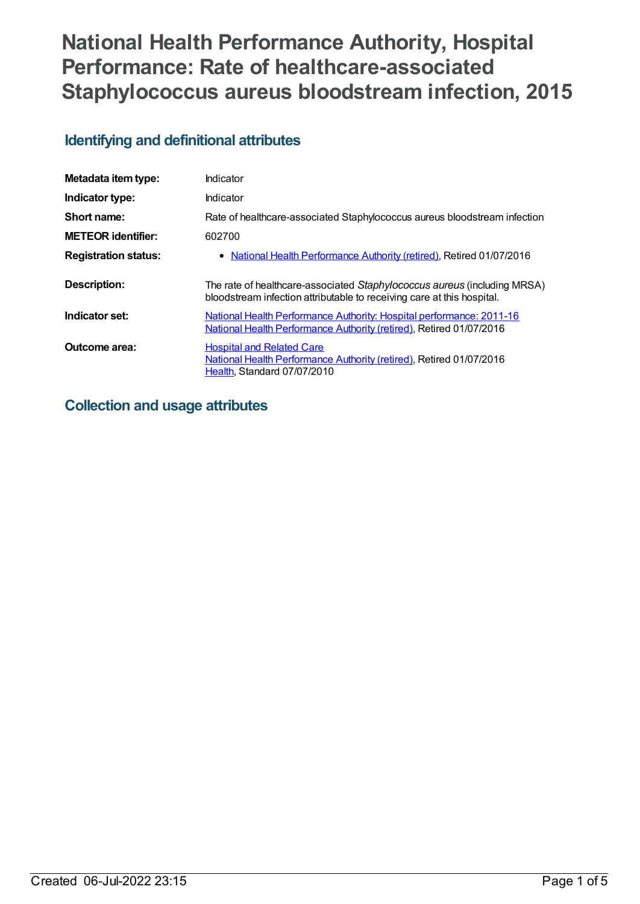# **National Health Performance Authority, Hospital Performance: Rate of healthcare-associated Staphylococcus aureus bloodstream infection, 2015**

# **Identifying and definitional attributes**

| Metadata item type:         | Indicator                                                                                                                                          |
|-----------------------------|----------------------------------------------------------------------------------------------------------------------------------------------------|
| Indicator type:             | Indicator                                                                                                                                          |
| Short name:                 | Rate of healthcare-associated Staphylococcus aureus bloodstream infection                                                                          |
| <b>METEOR identifier:</b>   | 602700                                                                                                                                             |
| <b>Registration status:</b> | • National Health Performance Authority (retired), Retired 01/07/2016                                                                              |
| <b>Description:</b>         | The rate of healthcare-associated Staphylococcus aureus (including MRSA)<br>bloodstream infection attributable to receiving care at this hospital. |
| Indicator set:              | National Health Performance Authority: Hospital performance: 2011-16<br>National Health Performance Authority (retired), Retired 01/07/2016        |
| Outcome area:               | <b>Hospital and Related Care</b><br>National Health Performance Authority (retired), Retired 01/07/2016<br>Health, Standard 07/07/2010             |

# **Collection and usage attributes**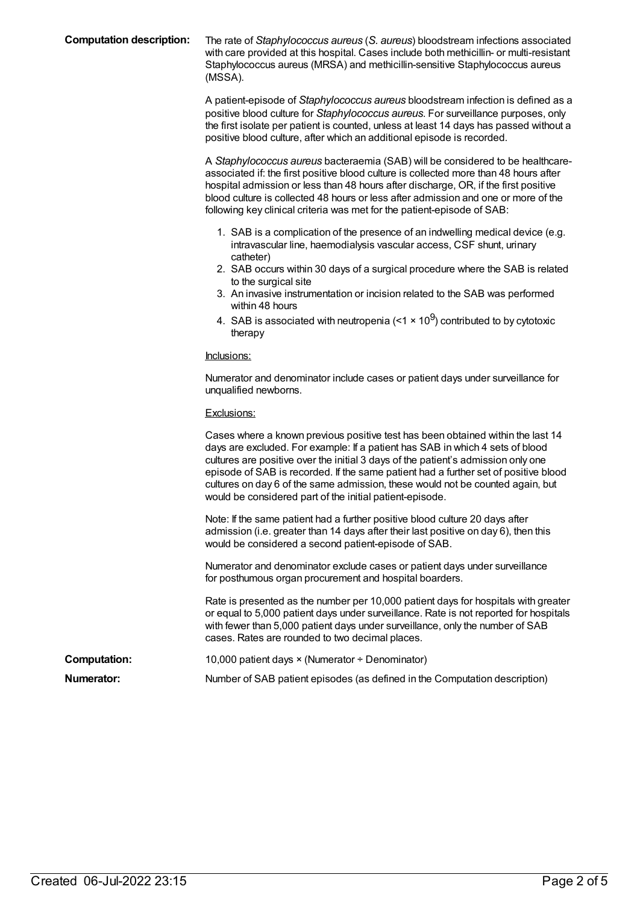**Computation description:** The rate of *Staphylococcus aureus* (*S. aureus*) bloodstream infections associated with care provided at this hospital. Cases include both methicillin- or multi-resistant Staphylococcus aureus (MRSA) and methicillin-sensitive Staphylococcus aureus (MSSA).

> A patient-episode of *Staphylococcus aureus* bloodstream infection is defined as a positive blood culture for *Staphylococcus aureus*. For surveillance purposes, only the first isolate per patient is counted, unless at least 14 days has passed without a positive blood culture, after which an additional episode is recorded.

> A *Staphylococcus aureus* bacteraemia (SAB) will be considered to be healthcareassociated if: the first positive blood culture is collected more than 48 hours after hospital admission or less than 48 hours after discharge, OR, if the first positive blood culture is collected 48 hours or less after admission and one or more of the following key clinical criteria was met for the patient-episode of SAB:

- 1. SAB is a complication of the presence of an indwelling medical device (e.g. intravascular line, haemodialysis vascular access, CSF shunt, urinary catheter)
- 2. SAB occurs within 30 days of a surgical procedure where the SAB is related to the surgical site
- 3. An invasive instrumentation or incision related to the SAB was performed within 48 hours
- 4. SAB is associated with neutropenia (<1  $\times$  10<sup>9</sup>) contributed to by cytotoxic therapy

#### Inclusions:

Numerator and denominator include cases or patient days under surveillance for unqualified newborns.

#### Exclusions:

|                     | Cases where a known previous positive test has been obtained within the last 14<br>days are excluded. For example: If a patient has SAB in which 4 sets of blood<br>cultures are positive over the initial 3 days of the patient's admission only one<br>episode of SAB is recorded. If the same patient had a further set of positive blood<br>cultures on day 6 of the same admission, these would not be counted again, but<br>would be considered part of the initial patient-episode. |
|---------------------|--------------------------------------------------------------------------------------------------------------------------------------------------------------------------------------------------------------------------------------------------------------------------------------------------------------------------------------------------------------------------------------------------------------------------------------------------------------------------------------------|
|                     | Note: If the same patient had a further positive blood culture 20 days after<br>admission (i.e. greater than 14 days after their last positive on day 6), then this<br>would be considered a second patient-episode of SAB.                                                                                                                                                                                                                                                                |
|                     | Numerator and denominator exclude cases or patient days under surveillance<br>for posthumous organ procurement and hospital boarders.                                                                                                                                                                                                                                                                                                                                                      |
|                     | Rate is presented as the number per 10,000 patient days for hospitals with greater<br>or equal to 5,000 patient days under surveillance. Rate is not reported for hospitals<br>with fewer than 5,000 patient days under surveillance, only the number of SAB<br>cases. Rates are rounded to two decimal places.                                                                                                                                                                            |
| <b>Computation:</b> | 10,000 patient days $\times$ (Numerator $\div$ Denominator)                                                                                                                                                                                                                                                                                                                                                                                                                                |
| Numerator:          | Number of SAB patient episodes (as defined in the Computation description)                                                                                                                                                                                                                                                                                                                                                                                                                 |
|                     |                                                                                                                                                                                                                                                                                                                                                                                                                                                                                            |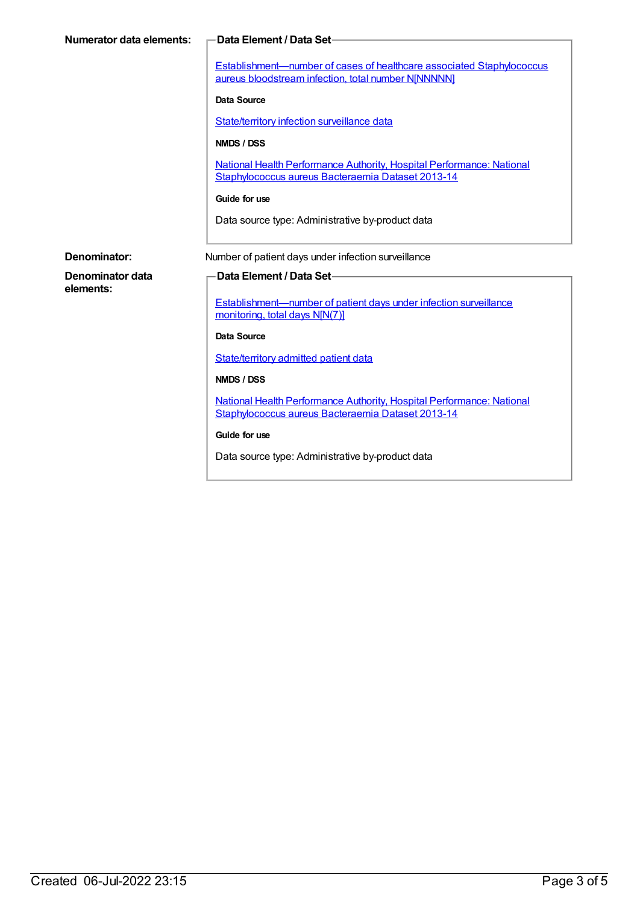| <b>Numerator data elements:</b> | Data Element / Data Set-                                                                                                            |
|---------------------------------|-------------------------------------------------------------------------------------------------------------------------------------|
|                                 | <b>Establishment-number of cases of healthcare associated Staphylococcus</b><br>aureus bloodstream infection, total number NJNNNNN] |
|                                 | Data Source                                                                                                                         |
|                                 | State/territory infection surveillance data                                                                                         |
|                                 | NMDS / DSS                                                                                                                          |
|                                 | National Health Performance Authority, Hospital Performance: National<br>Staphylococcus aureus Bacteraemia Dataset 2013-14          |
|                                 | Guide for use                                                                                                                       |
|                                 | Data source type: Administrative by-product data                                                                                    |
|                                 |                                                                                                                                     |
| Denominator:                    | Number of patient days under infection surveillance                                                                                 |
| Denominator data<br>elements:   | Data Element / Data Set-                                                                                                            |
|                                 | <b>Establishment—number of patient days under infection surveillance</b><br>monitoring, total days N[N(7)]                          |
|                                 | <b>Data Source</b>                                                                                                                  |
|                                 | State/territory admitted patient data                                                                                               |
|                                 | NMDS / DSS                                                                                                                          |
|                                 | National Health Performance Authority, Hospital Performance: National<br>Staphylococcus aureus Bacteraemia Dataset 2013-14          |
|                                 | Guide for use                                                                                                                       |
|                                 | Data source type: Administrative by-product data                                                                                    |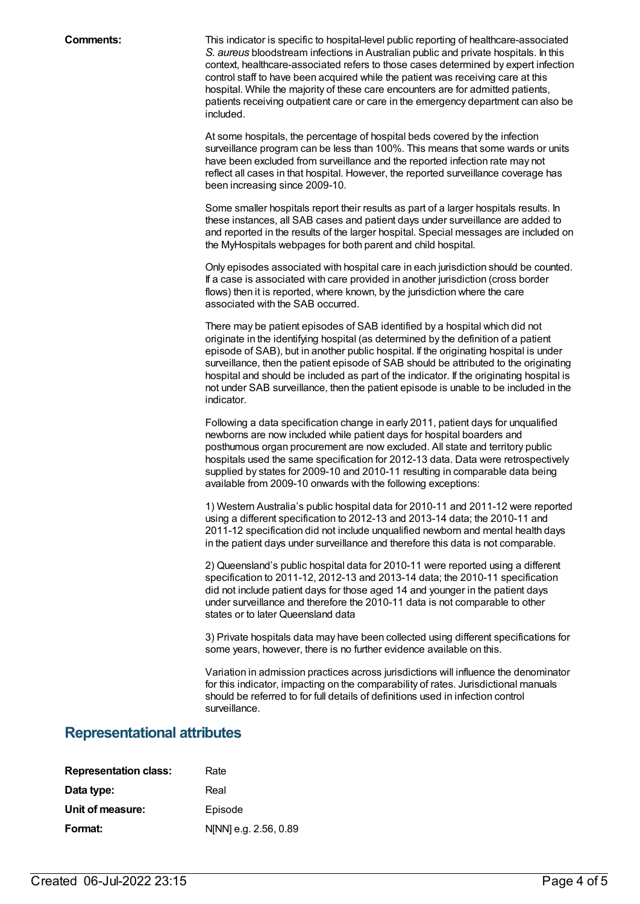**Comments:** This indicator is specific to hospital-level public reporting of healthcare-associated *S. aureus* bloodstream infections in Australian public and private hospitals. In this context, healthcare-associated refers to those cases determined by expert infection control staff to have been acquired while the patient was receiving care at this hospital. While the majority of these care encounters are for admitted patients, patients receiving outpatient care or care in the emergency department can also be included.

> At some hospitals, the percentage of hospital beds covered by the infection surveillance program can be less than 100%. This means that some wards or units have been excluded from surveillance and the reported infection rate may not reflect all cases in that hospital. However, the reported surveillance coverage has been increasing since 2009-10.

Some smaller hospitals report their results as part of a larger hospitals results. In these instances, all SAB cases and patient days under surveillance are added to and reported in the results of the larger hospital. Special messages are included on the MyHospitals webpages for both parent and child hospital.

Only episodes associated with hospital care in each jurisdiction should be counted. If a case is associated with care provided in another jurisdiction (cross border flows) then it is reported, where known, by the jurisdiction where the care associated with the SAB occurred.

There may be patient episodes of SAB identified by a hospital which did not originate in the identifying hospital (as determined by the definition of a patient episode of SAB), but in another public hospital. If the originating hospital is under surveillance, then the patient episode of SAB should be attributed to the originating hospital and should be included as part of the indicator. If the originating hospital is not under SAB surveillance, then the patient episode is unable to be included in the indicator.

Following a data specification change in early 2011, patient days for unqualified newborns are now included while patient days for hospital boarders and posthumous organ procurement are now excluded. All state and territory public hospitals used the same specification for 2012-13 data. Data were retrospectively supplied by states for 2009-10 and 2010-11 resulting in comparable data being available from 2009-10 onwards with the following exceptions:

1) Western Australia's public hospital data for 2010-11 and 2011-12 were reported using a different specification to 2012-13 and 2013-14 data; the 2010-11 and 2011-12 specification did not include unqualified newborn and mental health days in the patient days under surveillance and therefore this data is not comparable.

2) Queensland's public hospital data for 2010-11 were reported using a different specification to 2011-12, 2012-13 and 2013-14 data; the 2010-11 specification did not include patient days for those aged 14 and younger in the patient days under surveillance and therefore the 2010-11 data is not comparable to other states or to later Queensland data

3) Private hospitals data may have been collected using different specifications for some years, however, there is no further evidence available on this.

Variation in admission practices across jurisdictions will influence the denominator for this indicator, impacting on the comparability of rates. Jurisdictional manuals should be referred to for full details of definitions used in infection control surveillance.

### **Representational attributes**

| <b>Representation class:</b> | Rate                  |
|------------------------------|-----------------------|
| Data type:                   | Real                  |
| Unit of measure:             | Episode               |
| Format:                      | N[NN] e.g. 2.56, 0.89 |